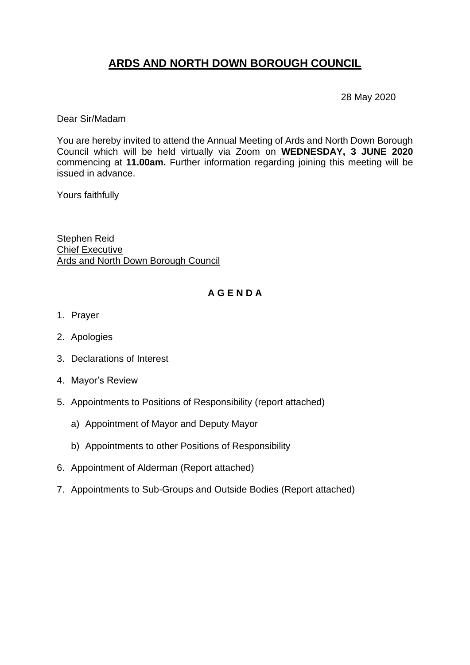# **ARDS AND NORTH DOWN BOROUGH COUNCIL**

28 May 2020

Dear Sir/Madam

You are hereby invited to attend the Annual Meeting of Ards and North Down Borough Council which will be held virtually via Zoom on **WEDNESDAY, 3 JUNE 2020**  commencing at **11.00am.** Further information regarding joining this meeting will be issued in advance.

Yours faithfully

Stephen Reid Chief Executive Ards and North Down Borough Council

# **A G E N D A**

- 1. Prayer
- 2. Apologies
- 3. Declarations of Interest
- 4. Mayor's Review
- 5. Appointments to Positions of Responsibility (report attached)
	- a) Appointment of Mayor and Deputy Mayor
	- b) Appointments to other Positions of Responsibility
- 6. Appointment of Alderman (Report attached)
- 7. Appointments to Sub-Groups and Outside Bodies (Report attached)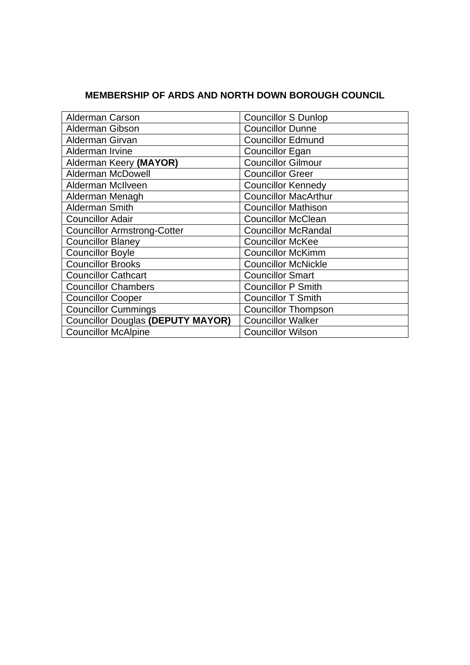# **MEMBERSHIP OF ARDS AND NORTH DOWN BOROUGH COUNCIL**

| <b>Alderman Carson</b>                   | <b>Councillor S Dunlop</b>  |
|------------------------------------------|-----------------------------|
| Alderman Gibson                          | <b>Councillor Dunne</b>     |
| Alderman Girvan                          | <b>Councillor Edmund</b>    |
| Alderman Irvine                          | <b>Councillor Egan</b>      |
| Alderman Keery (MAYOR)                   | <b>Councillor Gilmour</b>   |
| <b>Alderman McDowell</b>                 | <b>Councillor Greer</b>     |
| Alderman McIlveen                        | <b>Councillor Kennedy</b>   |
| Alderman Menagh                          | <b>Councillor MacArthur</b> |
| <b>Alderman Smith</b>                    | <b>Councillor Mathison</b>  |
| <b>Councillor Adair</b>                  | <b>Councillor McClean</b>   |
| <b>Councillor Armstrong-Cotter</b>       | <b>Councillor McRandal</b>  |
| <b>Councillor Blaney</b>                 | <b>Councillor McKee</b>     |
| <b>Councillor Boyle</b>                  | <b>Councillor McKimm</b>    |
| <b>Councillor Brooks</b>                 | <b>Councillor McNickle</b>  |
| <b>Councillor Cathcart</b>               | <b>Councillor Smart</b>     |
| <b>Councillor Chambers</b>               | <b>Councillor P Smith</b>   |
| <b>Councillor Cooper</b>                 | <b>Councillor T Smith</b>   |
| <b>Councillor Cummings</b>               | <b>Councillor Thompson</b>  |
| <b>Councillor Douglas (DEPUTY MAYOR)</b> | <b>Councillor Walker</b>    |
| <b>Councillor McAlpine</b>               | <b>Councillor Wilson</b>    |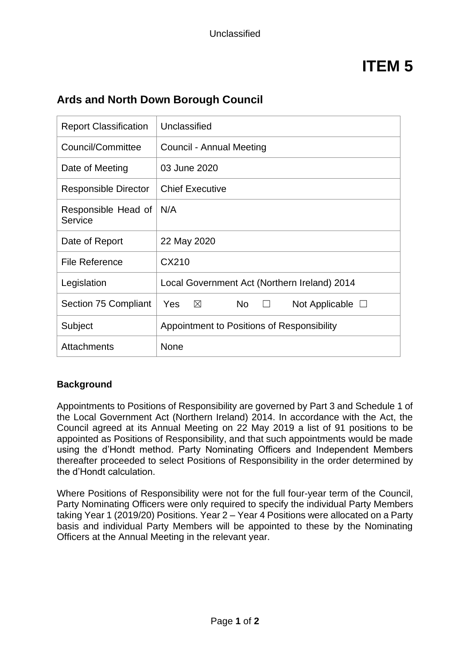# **ITEM 5**

| <b>Report Classification</b>   | Unclassified                                             |  |
|--------------------------------|----------------------------------------------------------|--|
| Council/Committee              | Council - Annual Meeting                                 |  |
| Date of Meeting                | 03 June 2020                                             |  |
| <b>Responsible Director</b>    | <b>Chief Executive</b>                                   |  |
| Responsible Head of<br>Service | N/A                                                      |  |
| Date of Report                 | 22 May 2020                                              |  |
| File Reference                 | CX210                                                    |  |
| Legislation                    | Local Government Act (Northern Ireland) 2014             |  |
| Section 75 Compliant           | Yes<br>$\boxtimes$<br><b>No</b><br>Not Applicable $\Box$ |  |
| Subject                        | Appointment to Positions of Responsibility               |  |
| Attachments                    | None                                                     |  |

# **Ards and North Down Borough Council**

## **Background**

Appointments to Positions of Responsibility are governed by Part 3 and Schedule 1 of the Local Government Act (Northern Ireland) 2014. In accordance with the Act, the Council agreed at its Annual Meeting on 22 May 2019 a list of 91 positions to be appointed as Positions of Responsibility, and that such appointments would be made using the d'Hondt method. Party Nominating Officers and Independent Members thereafter proceeded to select Positions of Responsibility in the order determined by the d'Hondt calculation.

Where Positions of Responsibility were not for the full four-year term of the Council, Party Nominating Officers were only required to specify the individual Party Members taking Year 1 (2019/20) Positions. Year 2 – Year 4 Positions were allocated on a Party basis and individual Party Members will be appointed to these by the Nominating Officers at the Annual Meeting in the relevant year.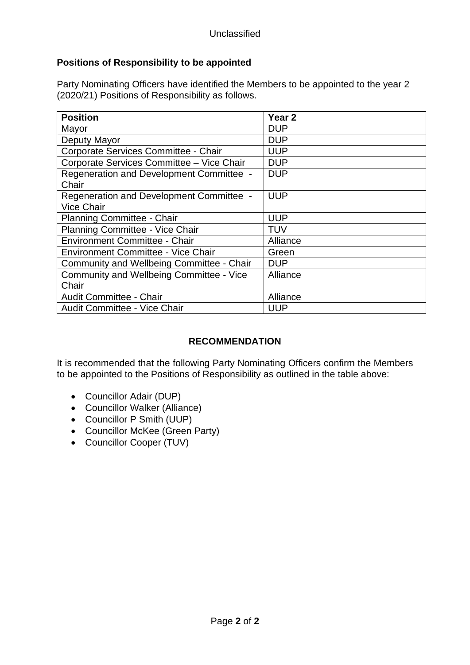# **Positions of Responsibility to be appointed**

Party Nominating Officers have identified the Members to be appointed to the year 2 (2020/21) Positions of Responsibility as follows.

| <b>Position</b>                           | Year 2     |
|-------------------------------------------|------------|
| Mayor                                     | <b>DUP</b> |
| Deputy Mayor                              | <b>DUP</b> |
| Corporate Services Committee - Chair      | <b>UUP</b> |
| Corporate Services Committee - Vice Chair | <b>DUP</b> |
| Regeneration and Development Committee -  | <b>DUP</b> |
| Chair                                     |            |
| Regeneration and Development Committee -  | <b>UUP</b> |
| <b>Vice Chair</b>                         |            |
| <b>Planning Committee - Chair</b>         | <b>UUP</b> |
| Planning Committee - Vice Chair           | <b>TUV</b> |
| Environment Committee - Chair             | Alliance   |
| Environment Committee - Vice Chair        | Green      |
| Community and Wellbeing Committee - Chair | <b>DUP</b> |
| Community and Wellbeing Committee - Vice  | Alliance   |
| Chair                                     |            |
| Audit Committee - Chair                   | Alliance   |
| <b>Audit Committee - Vice Chair</b>       | <b>UUP</b> |

## **RECOMMENDATION**

It is recommended that the following Party Nominating Officers confirm the Members to be appointed to the Positions of Responsibility as outlined in the table above:

- Councillor Adair (DUP)
- Councillor Walker (Alliance)
- Councillor P Smith (UUP)
- Councillor McKee (Green Party)
- Councillor Cooper (TUV)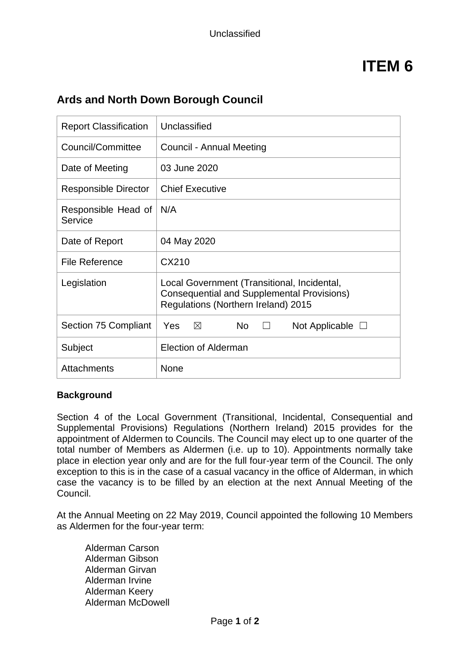# **ITEM 6**

# **Ards and North Down Borough Council**

| <b>Report Classification</b>   | Unclassified                                                                                                                            |  |
|--------------------------------|-----------------------------------------------------------------------------------------------------------------------------------------|--|
| Council/Committee              | Council - Annual Meeting                                                                                                                |  |
| Date of Meeting                | 03 June 2020                                                                                                                            |  |
| <b>Responsible Director</b>    | <b>Chief Executive</b>                                                                                                                  |  |
| Responsible Head of<br>Service | N/A                                                                                                                                     |  |
| Date of Report                 | 04 May 2020                                                                                                                             |  |
| <b>File Reference</b>          | CX210                                                                                                                                   |  |
| Legislation                    | Local Government (Transitional, Incidental,<br><b>Consequential and Supplemental Provisions)</b><br>Regulations (Northern Ireland) 2015 |  |
| Section 75 Compliant           | Yes<br>N <sub>o</sub><br>$\boxtimes$<br>Not Applicable $\Box$                                                                           |  |
| Subject                        | Election of Alderman                                                                                                                    |  |
| <b>Attachments</b>             | <b>None</b>                                                                                                                             |  |

## **Background**

Section 4 of the Local Government (Transitional, Incidental, Consequential and Supplemental Provisions) Regulations (Northern Ireland) 2015 provides for the appointment of Aldermen to Councils. The Council may elect up to one quarter of the total number of Members as Aldermen (i.e. up to 10). Appointments normally take place in election year only and are for the full four-year term of the Council. The only exception to this is in the case of a casual vacancy in the office of Alderman, in which case the vacancy is to be filled by an election at the next Annual Meeting of the Council.

At the Annual Meeting on 22 May 2019, Council appointed the following 10 Members as Aldermen for the four-year term:

Alderman Carson Alderman Gibson Alderman Girvan Alderman Irvine Alderman Keery Alderman McDowell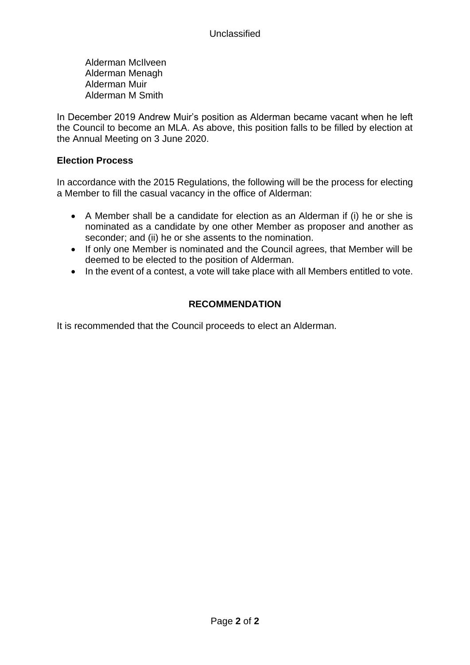Alderman McIlveen Alderman Menagh Alderman Muir Alderman M Smith

In December 2019 Andrew Muir's position as Alderman became vacant when he left the Council to become an MLA. As above, this position falls to be filled by election at the Annual Meeting on 3 June 2020.

#### **Election Process**

In accordance with the 2015 Regulations, the following will be the process for electing a Member to fill the casual vacancy in the office of Alderman:

- A Member shall be a candidate for election as an Alderman if (i) he or she is nominated as a candidate by one other Member as proposer and another as seconder; and (ii) he or she assents to the nomination.
- If only one Member is nominated and the Council agrees, that Member will be deemed to be elected to the position of Alderman.
- In the event of a contest, a vote will take place with all Members entitled to vote.

# **RECOMMENDATION**

It is recommended that the Council proceeds to elect an Alderman.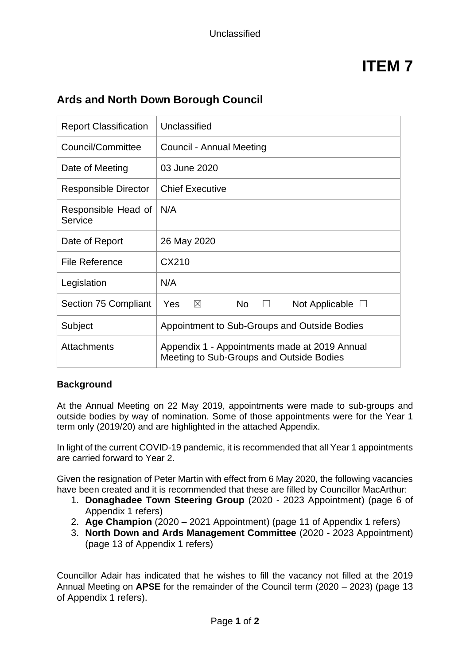# **ITEM 7**

# **Ards and North Down Borough Council**

| <b>Report Classification</b>   | Unclassified                                                                              |  |
|--------------------------------|-------------------------------------------------------------------------------------------|--|
| Council/Committee              | Council - Annual Meeting                                                                  |  |
| Date of Meeting                | 03 June 2020                                                                              |  |
| Responsible Director           | <b>Chief Executive</b>                                                                    |  |
| Responsible Head of<br>Service | N/A                                                                                       |  |
| Date of Report                 | 26 May 2020                                                                               |  |
| <b>File Reference</b>          | CX210                                                                                     |  |
| Legislation                    | N/A                                                                                       |  |
| <b>Section 75 Compliant</b>    | Yes<br>$\boxtimes$<br>N <sub>o</sub><br>Not Applicable $\Box$<br>$\Box$                   |  |
| Subject                        | Appointment to Sub-Groups and Outside Bodies                                              |  |
| Attachments                    | Appendix 1 - Appointments made at 2019 Annual<br>Meeting to Sub-Groups and Outside Bodies |  |

#### **Background**

At the Annual Meeting on 22 May 2019, appointments were made to sub-groups and outside bodies by way of nomination. Some of those appointments were for the Year 1 term only (2019/20) and are highlighted in the attached Appendix.

In light of the current COVID-19 pandemic, it is recommended that all Year 1 appointments are carried forward to Year 2.

Given the resignation of Peter Martin with effect from 6 May 2020, the following vacancies have been created and it is recommended that these are filled by Councillor MacArthur:

- 1. **Donaghadee Town Steering Group** (2020 2023 Appointment) (page 6 of Appendix 1 refers)
- 2. **Age Champion** (2020 2021 Appointment) (page 11 of Appendix 1 refers)
- 3. **North Down and Ards Management Committee** (2020 2023 Appointment) (page 13 of Appendix 1 refers)

Councillor Adair has indicated that he wishes to fill the vacancy not filled at the 2019 Annual Meeting on **APSE** for the remainder of the Council term (2020 – 2023) (page 13 of Appendix 1 refers).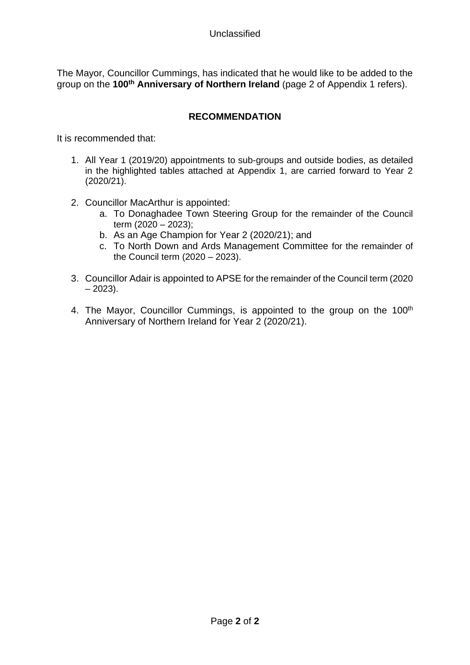The Mayor, Councillor Cummings, has indicated that he would like to be added to the group on the **100th Anniversary of Northern Ireland** (page 2 of Appendix 1 refers).

## **RECOMMENDATION**

It is recommended that:

- 1. All Year 1 (2019/20) appointments to sub-groups and outside bodies, as detailed in the highlighted tables attached at Appendix 1, are carried forward to Year 2 (2020/21).
- 2. Councillor MacArthur is appointed:
	- a. To Donaghadee Town Steering Group for the remainder of the Council term  $(2020 - 2023)$ ;
	- b. As an Age Champion for Year 2 (2020/21); and
	- c. To North Down and Ards Management Committee for the remainder of the Council term (2020 – 2023).
- 3. Councillor Adair is appointed to APSE for the remainder of the Council term (2020  $-2023$ ).
- 4. The Mayor, Councillor Cummings, is appointed to the group on the 100<sup>th</sup> Anniversary of Northern Ireland for Year 2 (2020/21).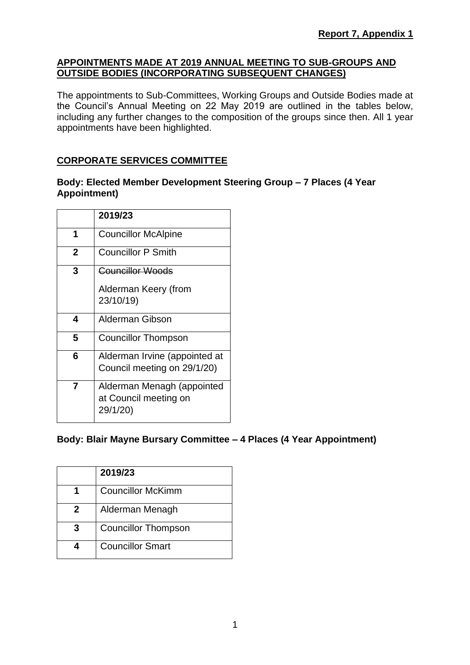### **APPOINTMENTS MADE AT 2019 ANNUAL MEETING TO SUB-GROUPS AND OUTSIDE BODIES (INCORPORATING SUBSEQUENT CHANGES)**

The appointments to Sub-Committees, Working Groups and Outside Bodies made at the Council's Annual Meeting on 22 May 2019 are outlined in the tables below, including any further changes to the composition of the groups since then. All 1 year appointments have been highlighted.

## **CORPORATE SERVICES COMMITTEE**

#### **Body: Elected Member Development Steering Group – 7 Places (4 Year Appointment)**

|             | 2019/23                                                         |
|-------------|-----------------------------------------------------------------|
| 1           | <b>Councillor McAlpine</b>                                      |
| $\mathbf 2$ | <b>Councillor P Smith</b>                                       |
| 3           | <b>Councillor Woods</b>                                         |
|             | Alderman Keery (from<br>23/10/19)                               |
| 4           | Alderman Gibson                                                 |
| 5           | Councillor Thompson                                             |
| 6           | Alderman Irvine (appointed at<br>Council meeting on 29/1/20)    |
| 7           | Alderman Menagh (appointed<br>at Council meeting on<br>29/1/20) |

## **Body: Blair Mayne Bursary Committee – 4 Places (4 Year Appointment)**

|   | 2019/23                    |
|---|----------------------------|
|   | <b>Councillor McKimm</b>   |
| 2 | Alderman Menagh            |
| 3 | <b>Councillor Thompson</b> |
|   | <b>Councillor Smart</b>    |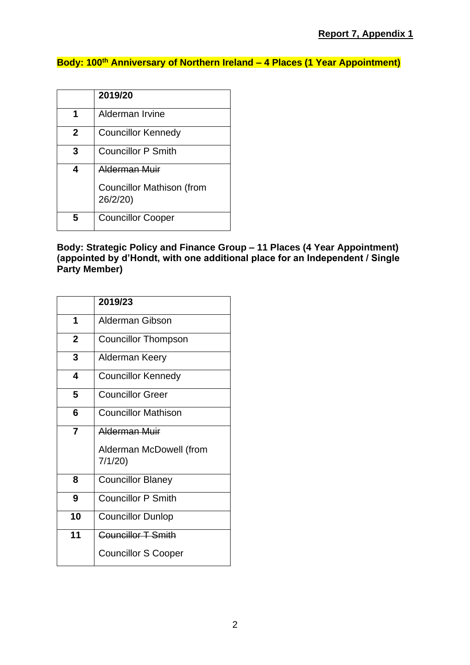# **Body: 100th Anniversary of Northern Ireland – 4 Places (1 Year Appointment)**

|   | 2019/20                                                              |
|---|----------------------------------------------------------------------|
| 1 | Alderman Irvine                                                      |
| 2 | <b>Councillor Kennedy</b>                                            |
| 3 | <b>Councillor P Smith</b>                                            |
|   | <b>Alderman Muir</b><br><b>Councillor Mathison (from</b><br>26/2/20) |
| 5 | <b>Councillor Cooper</b>                                             |

#### **Body: Strategic Policy and Finance Group – 11 Places (4 Year Appointment) (appointed by d'Hondt, with one additional place for an Independent / Single Party Member)**

|                | 2019/23                           |
|----------------|-----------------------------------|
| 1              | Alderman Gibson                   |
| $\mathbf 2$    | <b>Councillor Thompson</b>        |
| 3              | Alderman Keery                    |
| 4              | <b>Councillor Kennedy</b>         |
| 5              | <b>Councillor Greer</b>           |
| 6              | <b>Councillor Mathison</b>        |
| $\overline{7}$ | Alderman Muir                     |
|                | Alderman McDowell (from<br>7/1/20 |
| 8              | <b>Councillor Blaney</b>          |
| 9              | <b>Councillor P Smith</b>         |
| 10             | <b>Councillor Dunlop</b>          |
| 11             | <b>Councillor T Smith</b>         |
|                | <b>Councillor S Cooper</b>        |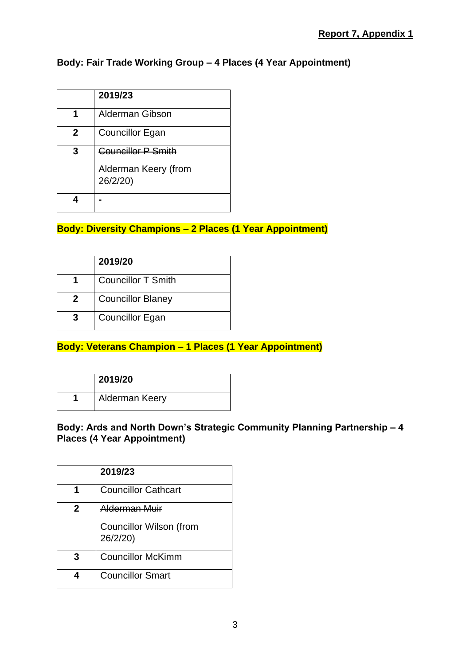# **Body: Fair Trade Working Group – 4 Places (4 Year Appointment)**

|   | 2019/23                          |
|---|----------------------------------|
|   | <b>Alderman Gibson</b>           |
| 2 | Councillor Egan                  |
| 3 | <b>Councillor P Smith</b>        |
|   | Alderman Keery (from<br>26/2/20) |
|   |                                  |

# **Body: Diversity Champions – 2 Places (1 Year Appointment)**

|   | 2019/20                   |
|---|---------------------------|
|   | <b>Councillor T Smith</b> |
| 2 | <b>Councillor Blaney</b>  |
|   | <b>Councillor Egan</b>    |

## **Body: Veterans Champion – 1 Places (1 Year Appointment)**

| 2019/20        |
|----------------|
| Alderman Keery |

## **Body: Ards and North Down's Strategic Community Planning Partnership – 4 Places (4 Year Appointment)**

|   | 2019/23                                                            |
|---|--------------------------------------------------------------------|
|   | <b>Councillor Cathcart</b>                                         |
| 2 | <u>Alderman Muir</u><br><b>Councillor Wilson (from</b><br>26/2/20) |
| 3 | <b>Councillor McKimm</b>                                           |
|   | <b>Councillor Smart</b>                                            |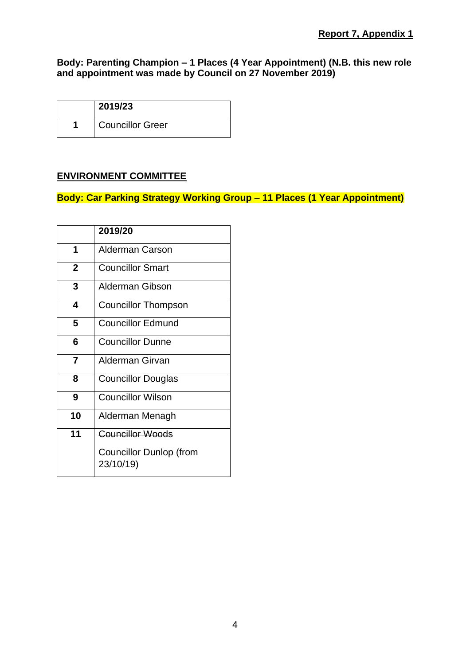## **Body: Parenting Champion – 1 Places (4 Year Appointment) (N.B. this new role and appointment was made by Council on 27 November 2019)**

| 2019/23                 |
|-------------------------|
| <b>Councillor Greer</b> |

## **ENVIRONMENT COMMITTEE**

# **Body: Car Parking Strategy Working Group – 11 Places (1 Year Appointment)**

|                | 2019/20                                     |
|----------------|---------------------------------------------|
| 1              | <b>Alderman Carson</b>                      |
| $\overline{2}$ | <b>Councillor Smart</b>                     |
| 3              | Alderman Gibson                             |
| 4              | Councillor Thompson                         |
| 5              | <b>Councillor Edmund</b>                    |
| 6              | <b>Councillor Dunne</b>                     |
| 7              | Alderman Girvan                             |
| 8              | <b>Councillor Douglas</b>                   |
| 9              | <b>Councillor Wilson</b>                    |
| 10             | Alderman Menagh                             |
| 11             | <b>Councillor Woods</b>                     |
|                | <b>Councillor Dunlop (from</b><br>23/10/19) |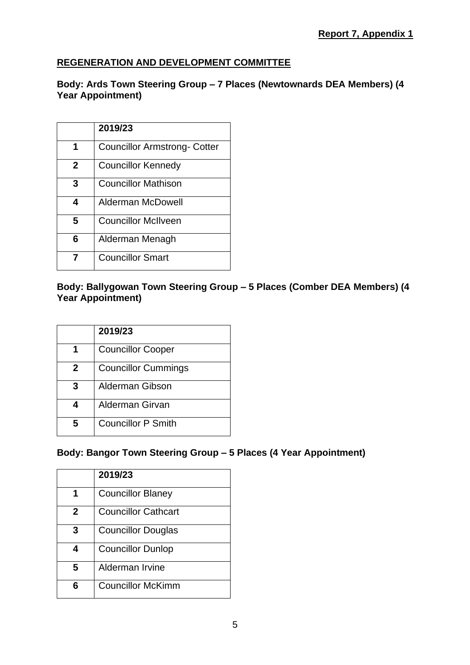# **REGENERATION AND DEVELOPMENT COMMITTEE**

## **Body: Ards Town Steering Group – 7 Places (Newtownards DEA Members) (4 Year Appointment)**

|              | 2019/23                      |
|--------------|------------------------------|
| 1            | Councillor Armstrong- Cotter |
| $\mathbf{2}$ | <b>Councillor Kennedy</b>    |
| 3            | <b>Councillor Mathison</b>   |
| 4            | Alderman McDowell            |
| 5            | <b>Councillor McIlveen</b>   |
| 6            | Alderman Menagh              |
|              | <b>Councillor Smart</b>      |

## **Body: Ballygowan Town Steering Group – 5 Places (Comber DEA Members) (4 Year Appointment)**

|   | 2019/23                    |
|---|----------------------------|
|   | <b>Councillor Cooper</b>   |
| 2 | <b>Councillor Cummings</b> |
| 3 | <b>Alderman Gibson</b>     |
| 4 | Alderman Girvan            |
| 5 | <b>Councillor P Smith</b>  |

# **Body: Bangor Town Steering Group – 5 Places (4 Year Appointment)**

|             | 2019/23                    |
|-------------|----------------------------|
|             | <b>Councillor Blaney</b>   |
| $\mathbf 2$ | <b>Councillor Cathcart</b> |
| 3           | <b>Councillor Douglas</b>  |
| 4           | <b>Councillor Dunlop</b>   |
| 5           | Alderman Irvine            |
| 6           | <b>Councillor McKimm</b>   |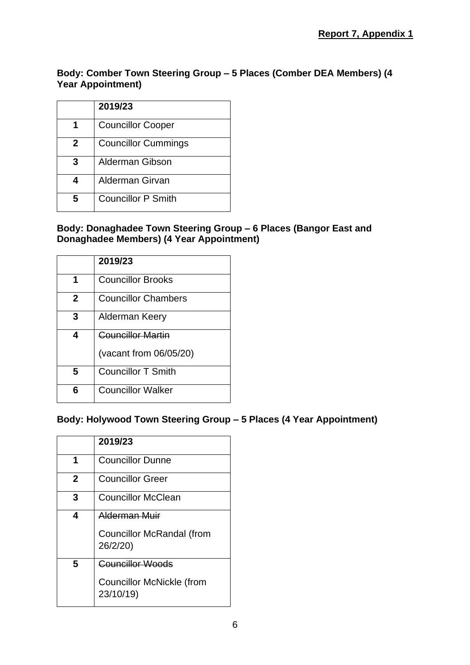**Body: Comber Town Steering Group – 5 Places (Comber DEA Members) (4 Year Appointment)**

|   | 2019/23                    |
|---|----------------------------|
|   | <b>Councillor Cooper</b>   |
| 2 | <b>Councillor Cummings</b> |
| 3 | Alderman Gibson            |
| 4 | Alderman Girvan            |
| 5 | <b>Councillor P Smith</b>  |

## **Body: Donaghadee Town Steering Group – 6 Places (Bangor East and Donaghadee Members) (4 Year Appointment)**

|              | 2019/23                    |
|--------------|----------------------------|
| 1            | <b>Councillor Brooks</b>   |
| $\mathbf{2}$ | <b>Councillor Chambers</b> |
| 3            | Alderman Keery             |
| 4            | <b>Councillor Martin</b>   |
|              | (vacant from 06/05/20)     |
| 5            | <b>Councillor T Smith</b>  |
| 6            | <b>Councillor Walker</b>   |

## **Body: Holywood Town Steering Group – 5 Places (4 Year Appointment)**

|              | 2019/23                                      |
|--------------|----------------------------------------------|
| 1            | <b>Councillor Dunne</b>                      |
| $\mathbf{2}$ | <b>Councillor Greer</b>                      |
| 3            | <b>Councillor McClean</b>                    |
| 4            | Alderman Muir                                |
|              | <b>Councillor McRandal (from</b><br>26/2/20) |
| 5            | <b>Councillor Woods</b>                      |
|              | Councillor McNickle (from<br>23/10/19)       |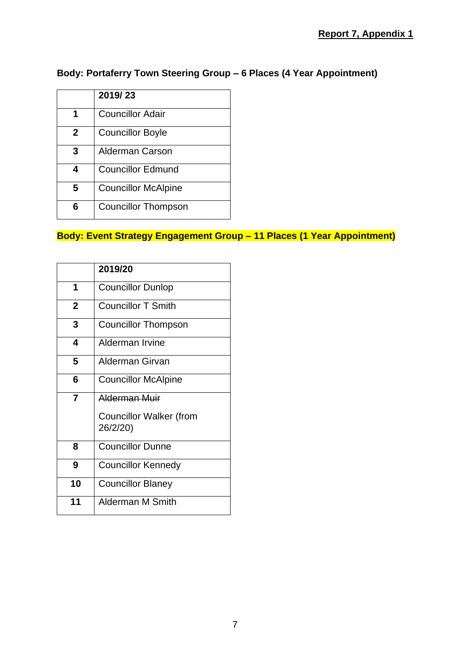# **Body: Portaferry Town Steering Group – 6 Places (4 Year Appointment)**

|   | 2019/23                    |
|---|----------------------------|
| 1 | <b>Councillor Adair</b>    |
| 2 | <b>Councillor Boyle</b>    |
| 3 | <b>Alderman Carson</b>     |
| 4 | <b>Councillor Edmund</b>   |
| 5 | <b>Councillor McAlpine</b> |
| 6 | <b>Councillor Thompson</b> |

# **Body: Event Strategy Engagement Group – 11 Places (1 Year Appointment)**

|                | 2019/20                                    |
|----------------|--------------------------------------------|
| 1              | <b>Councillor Dunlop</b>                   |
| $\overline{2}$ | <b>Councillor T Smith</b>                  |
| 3              | <b>Councillor Thompson</b>                 |
| 4              | Alderman Irvine                            |
| 5              | Alderman Girvan                            |
| 6              | <b>Councillor McAlpine</b>                 |
| 7              | Alderman Muir                              |
|                | <b>Councillor Walker (from</b><br>26/2/20) |
| 8              | <b>Councillor Dunne</b>                    |
| 9              | <b>Councillor Kennedy</b>                  |
| 10             | <b>Councillor Blaney</b>                   |
| 11             | Alderman M Smith                           |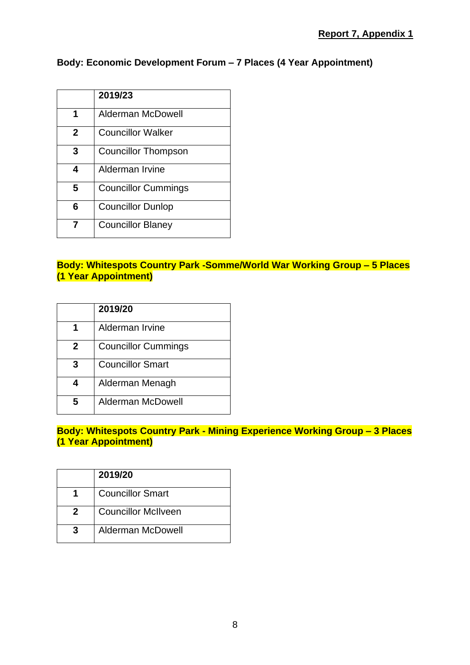# **Body: Economic Development Forum – 7 Places (4 Year Appointment)**

|             | 2019/23                    |
|-------------|----------------------------|
| 1           | Alderman McDowell          |
| $\mathbf 2$ | <b>Councillor Walker</b>   |
| 3           | Councillor Thompson        |
| 4           | Alderman Irvine            |
| 5           | <b>Councillor Cummings</b> |
| 6           | <b>Councillor Dunlop</b>   |
|             | <b>Councillor Blaney</b>   |

# **Body: Whitespots Country Park -Somme/World War Working Group – 5 Places (1 Year Appointment)**

|   | 2019/20                    |
|---|----------------------------|
|   | Alderman Irvine            |
| 2 | <b>Councillor Cummings</b> |
| З | <b>Councillor Smart</b>    |
|   | Alderman Menagh            |
| 5 | Alderman McDowell          |

## **Body: Whitespots Country Park - Mining Experience Working Group – 3 Places (1 Year Appointment)**

|   | 2019/20                    |
|---|----------------------------|
|   | <b>Councillor Smart</b>    |
| 2 | <b>Councillor McIlveen</b> |
|   | <b>Alderman McDowell</b>   |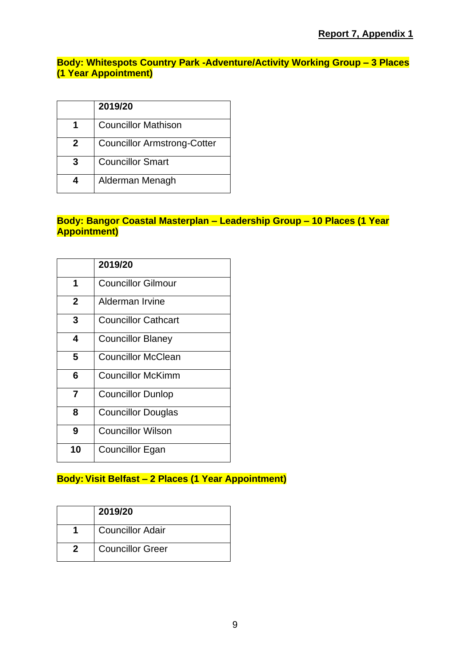## **Body: Whitespots Country Park -Adventure/Activity Working Group – 3 Places (1 Year Appointment)**

|   | 2019/20                            |
|---|------------------------------------|
|   | <b>Councillor Mathison</b>         |
| 2 | <b>Councillor Armstrong-Cotter</b> |
| З | <b>Councillor Smart</b>            |
|   | Alderman Menagh                    |

## **Body: Bangor Coastal Masterplan – Leadership Group – 10 Places (1 Year Appointment)**

|    | 2019/20                    |
|----|----------------------------|
| 1  | <b>Councillor Gilmour</b>  |
| 2  | Alderman Irvine            |
| 3  | <b>Councillor Cathcart</b> |
| 4  | <b>Councillor Blaney</b>   |
| 5  | <b>Councillor McClean</b>  |
| 6  | Councillor McKimm          |
| 7  | <b>Councillor Dunlop</b>   |
| 8  | <b>Councillor Douglas</b>  |
| 9  | <b>Councillor Wilson</b>   |
| 10 | Councillor Egan            |

# **Body: Visit Belfast – 2 Places (1 Year Appointment)**

| 2019/20                 |
|-------------------------|
| <b>Councillor Adair</b> |
| <b>Councillor Greer</b> |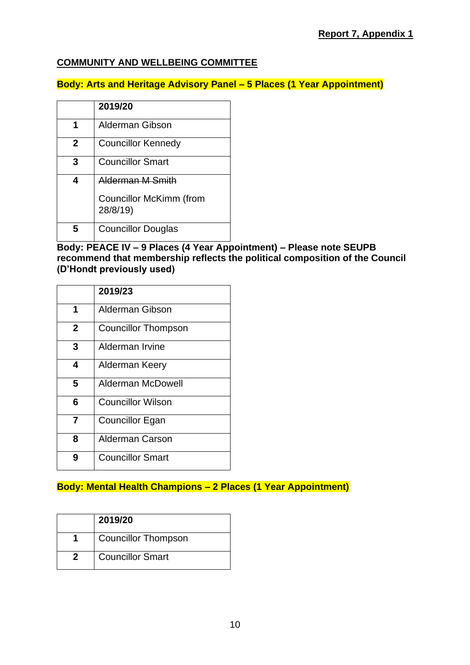## **COMMUNITY AND WELLBEING COMMITTEE**

## **Body: Arts and Heritage Advisory Panel – 5 Places (1 Year Appointment)**

|   | 2019/20                                                        |
|---|----------------------------------------------------------------|
|   | Alderman Gibson                                                |
| 2 | <b>Councillor Kennedy</b>                                      |
| 3 | <b>Councillor Smart</b>                                        |
| 4 | Alderman M Smith<br><b>Councillor McKimm (from</b><br>28/8/19) |
| h | <b>Councillor Douglas</b>                                      |

### **Body: PEACE IV – 9 Places (4 Year Appointment) – Please note SEUPB recommend that membership reflects the political composition of the Council (D'Hondt previously used)**

|                | 2019/23                    |
|----------------|----------------------------|
| 1              | Alderman Gibson            |
| $\overline{2}$ | <b>Councillor Thompson</b> |
| 3              | Alderman Irvine            |
| 4              | Alderman Keery             |
| 5              | Alderman McDowell          |
| 6              | <b>Councillor Wilson</b>   |
| 7              | Councillor Egan            |
| 8              | Alderman Carson            |
| g              | <b>Councillor Smart</b>    |

# **Body: Mental Health Champions – 2 Places (1 Year Appointment)**

| 2019/20                    |
|----------------------------|
| <b>Councillor Thompson</b> |
| <b>Councillor Smart</b>    |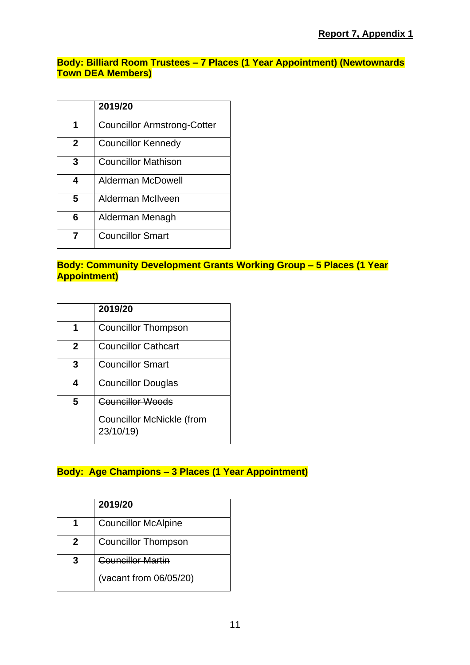**Body: Billiard Room Trustees – 7 Places (1 Year Appointment) (Newtownards Town DEA Members)**

|             | 2019/20                            |
|-------------|------------------------------------|
| 1           | <b>Councillor Armstrong-Cotter</b> |
| $\mathbf 2$ | <b>Councillor Kennedy</b>          |
| 3           | <b>Councillor Mathison</b>         |
| 4           | Alderman McDowell                  |
| 5           | Alderman McIlveen                  |
| 6           | Alderman Menagh                    |
|             | <b>Councillor Smart</b>            |

## **Body: Community Development Grants Working Group – 5 Places (1 Year Appointment)**

| 2019/20                                                                  |
|--------------------------------------------------------------------------|
| <b>Councillor Thompson</b>                                               |
| <b>Councillor Cathcart</b>                                               |
| <b>Councillor Smart</b>                                                  |
| <b>Councillor Douglas</b>                                                |
| <b>Councillor Woods</b><br><b>Councillor McNickle (from</b><br>23/10/19) |
|                                                                          |

# **Body: Age Champions – 3 Places (1 Year Appointment)**

|   | 2019/20                    |
|---|----------------------------|
|   | <b>Councillor McAlpine</b> |
| 2 | <b>Councillor Thompson</b> |
| З | <b>Councillor Martin</b>   |
|   | (vacant from 06/05/20)     |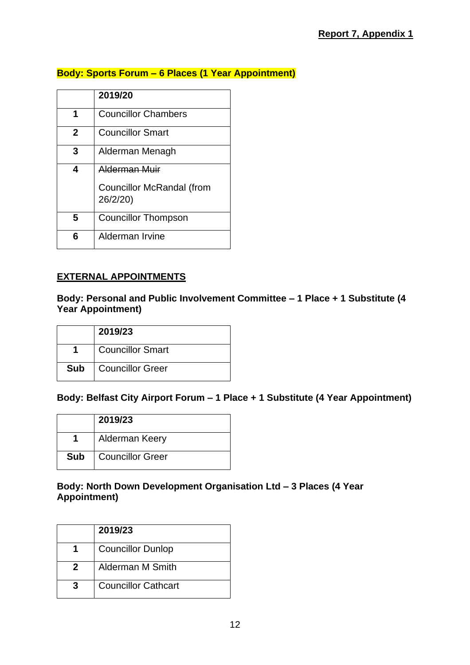# **Body: Sports Forum – 6 Places (1 Year Appointment)**

|              | 2019/20                               |
|--------------|---------------------------------------|
| 1            | <b>Councillor Chambers</b>            |
| $\mathbf{2}$ | <b>Councillor Smart</b>               |
| 3            | Alderman Menagh                       |
| 4            | Alderman Muir                         |
|              | Councillor McRandal (from<br>26/2/20) |
| 5            | Councillor Thompson                   |
| 6            | Alderman Irvine                       |

## **EXTERNAL APPOINTMENTS**

## **Body: Personal and Public Involvement Committee – 1 Place + 1 Substitute (4 Year Appointment)**

|            | 2019/23                 |
|------------|-------------------------|
|            | <b>Councillor Smart</b> |
| <b>Sub</b> | Councillor Greer        |

## **Body: Belfast City Airport Forum – 1 Place + 1 Substitute (4 Year Appointment)**

|            | 2019/23                 |
|------------|-------------------------|
|            | <b>Alderman Keery</b>   |
| <b>Sub</b> | <b>Councillor Greer</b> |

#### **Body: North Down Development Organisation Ltd – 3 Places (4 Year Appointment)**

|   | 2019/23                    |
|---|----------------------------|
|   | <b>Councillor Dunlop</b>   |
|   | Alderman M Smith           |
| 3 | <b>Councillor Cathcart</b> |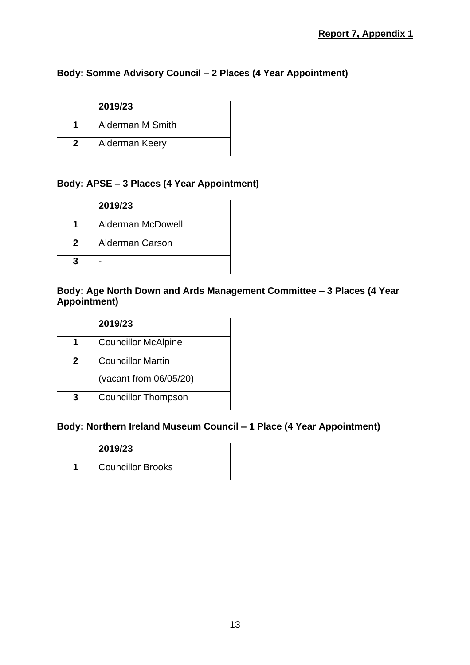# **Body: Somme Advisory Council – 2 Places (4 Year Appointment)**

| 2019/23                 |
|-------------------------|
| <b>Alderman M Smith</b> |
| Alderman Keery          |

## **Body: APSE – 3 Places (4 Year Appointment)**

|   | 2019/23           |
|---|-------------------|
|   | Alderman McDowell |
| 2 | Alderman Carson   |
|   |                   |

#### **Body: Age North Down and Ards Management Committee – 3 Places (4 Year Appointment)**

| 2019/23                    |
|----------------------------|
| <b>Councillor McAlpine</b> |
| Councillor Martin          |
| (vacant from 06/05/20)     |
| <b>Councillor Thompson</b> |

## **Body: Northern Ireland Museum Council – 1 Place (4 Year Appointment)**

| 2019/23                  |
|--------------------------|
| <b>Councillor Brooks</b> |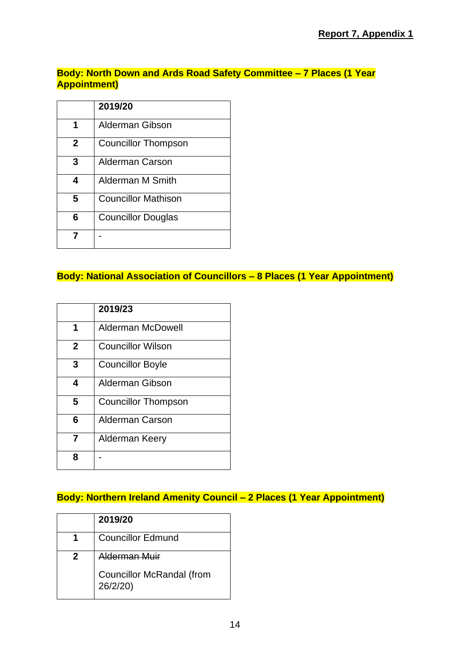# **Body: North Down and Ards Road Safety Committee – 7 Places (1 Year Appointment)**

|              | 2019/20                    |
|--------------|----------------------------|
| 1            | Alderman Gibson            |
| $\mathbf{2}$ | <b>Councillor Thompson</b> |
| 3            | Alderman Carson            |
| 4            | <b>Alderman M Smith</b>    |
| 5            | <b>Councillor Mathison</b> |
| 6            | <b>Councillor Douglas</b>  |
|              |                            |

# **Body: National Association of Councillors – 8 Places (1 Year Appointment)**

|              | 2019/23                    |
|--------------|----------------------------|
| 1            | Alderman McDowell          |
| $\mathbf{2}$ | <b>Councillor Wilson</b>   |
| 3            | <b>Councillor Boyle</b>    |
| 4            | Alderman Gibson            |
| 5            | <b>Councillor Thompson</b> |
| 6            | Alderman Carson            |
| 7            | Alderman Keery             |
| я            |                            |

# **Body: Northern Ireland Amenity Council – 2 Places (1 Year Appointment)**

|   | 2019/20                                     |
|---|---------------------------------------------|
|   | <b>Councillor Edmund</b>                    |
| 2 | Aldarman Muir                               |
|   | <b>Councillor McRandal (from</b><br>26/2/20 |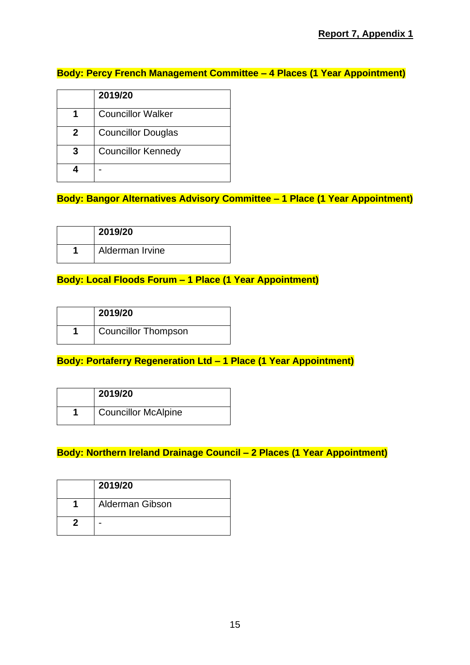## **Body: Percy French Management Committee – 4 Places (1 Year Appointment)**

|   | 2019/20                   |
|---|---------------------------|
|   | <b>Councillor Walker</b>  |
| 2 | <b>Councillor Douglas</b> |
| 3 | <b>Councillor Kennedy</b> |
|   |                           |

**Body: Bangor Alternatives Advisory Committee – 1 Place (1 Year Appointment)**

| 2019/20         |
|-----------------|
| Alderman Irvine |

## **Body: Local Floods Forum – 1 Place (1 Year Appointment)**

| 2019/20                    |
|----------------------------|
| <b>Councillor Thompson</b> |

# **Body: Portaferry Regeneration Ltd – 1 Place (1 Year Appointment)**

| 2019/20                    |
|----------------------------|
| <b>Councillor McAlpine</b> |

# **Body: Northern Ireland Drainage Council – 2 Places (1 Year Appointment)**

| 2019/20         |
|-----------------|
| Alderman Gibson |
|                 |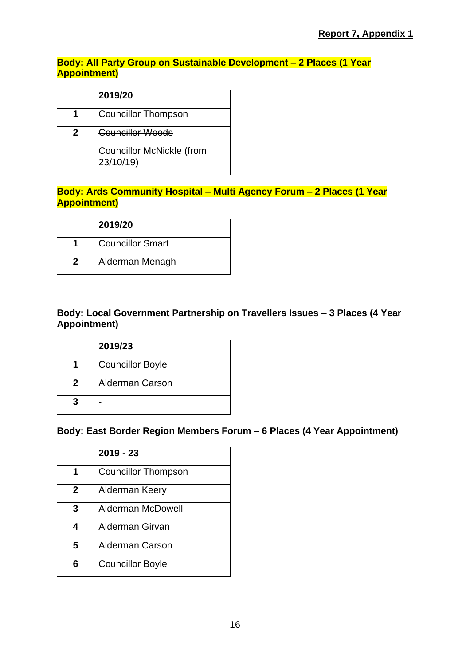## **Body: All Party Group on Sustainable Development – 2 Places (1 Year Appointment)**

|              | 2019/20                                       |
|--------------|-----------------------------------------------|
| 1            | <b>Councillor Thompson</b>                    |
| $\mathbf{2}$ | Councillor Woods                              |
|              | <b>Councillor McNickle (from</b><br>23/10/19) |

## **Body: Ards Community Hospital – Multi Agency Forum – 2 Places (1 Year Appointment)**

| 2019/20                 |
|-------------------------|
| <b>Councillor Smart</b> |
| Alderman Menagh         |

## **Body: Local Government Partnership on Travellers Issues – 3 Places (4 Year Appointment)**

|   | 2019/23                 |
|---|-------------------------|
|   | <b>Councillor Boyle</b> |
| 2 | <b>Alderman Carson</b>  |
|   |                         |

## **Body: East Border Region Members Forum – 6 Places (4 Year Appointment)**

|              | $2019 - 23$                |
|--------------|----------------------------|
|              | <b>Councillor Thompson</b> |
| $\mathbf{2}$ | Alderman Keery             |
| 3            | <b>Alderman McDowell</b>   |
| 4            | Alderman Girvan            |
| 5            | <b>Alderman Carson</b>     |
| 6            | <b>Councillor Boyle</b>    |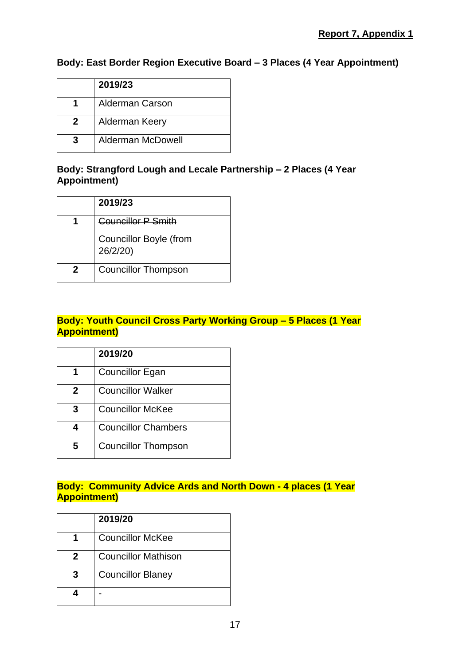## **Body: East Border Region Executive Board – 3 Places (4 Year Appointment)**

| 2019/23                  |
|--------------------------|
| <b>Alderman Carson</b>   |
| Alderman Keery           |
| <b>Alderman McDowell</b> |

## **Body: Strangford Lough and Lecale Partnership – 2 Places (4 Year Appointment)**

| 2019/23                                   |
|-------------------------------------------|
| <b>Councillor P Smith</b>                 |
| <b>Councillor Boyle (from</b><br>26/2/20) |
| <b>Councillor Thompson</b>                |

## **Body: Youth Council Cross Party Working Group – 5 Places (1 Year Appointment)**

|   | 2019/20                    |
|---|----------------------------|
|   | <b>Councillor Egan</b>     |
| 2 | <b>Councillor Walker</b>   |
| 3 | <b>Councillor McKee</b>    |
| 4 | <b>Councillor Chambers</b> |
| 5 | <b>Councillor Thompson</b> |

#### **Body: Community Advice Ards and North Down - 4 places (1 Year Appointment)**

|   | 2019/20                    |
|---|----------------------------|
|   | <b>Councillor McKee</b>    |
| 2 | <b>Councillor Mathison</b> |
| 3 | <b>Councillor Blaney</b>   |
|   |                            |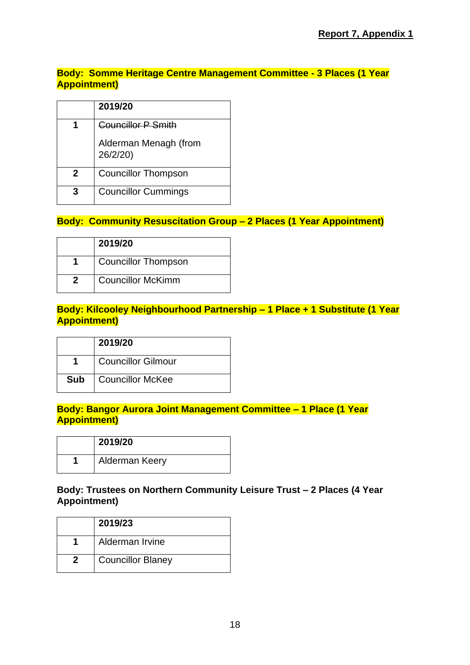## **Body: Somme Heritage Centre Management Committee - 3 Places (1 Year Appointment)**

|   | 2019/20                           |
|---|-----------------------------------|
|   | <b>Councillor P Smith</b>         |
|   | Alderman Menagh (from<br>26/2/20) |
| 2 | <b>Councillor Thompson</b>        |
|   | <b>Councillor Cummings</b>        |

## **Body: Community Resuscitation Group – 2 Places (1 Year Appointment)**

| 2019/20                    |
|----------------------------|
| <b>Councillor Thompson</b> |
| <b>Councillor McKimm</b>   |

## **Body: Kilcooley Neighbourhood Partnership – 1 Place + 1 Substitute (1 Year Appointment)**

|            | 2019/20                   |
|------------|---------------------------|
|            | <b>Councillor Gilmour</b> |
| <b>Sub</b> | Councillor McKee          |

## **Body: Bangor Aurora Joint Management Committee – 1 Place (1 Year Appointment)**

| 2019/20        |
|----------------|
| Alderman Keery |

## **Body: Trustees on Northern Community Leisure Trust – 2 Places (4 Year Appointment)**

| 2019/23                  |
|--------------------------|
| Alderman Irvine          |
| <b>Councillor Blaney</b> |